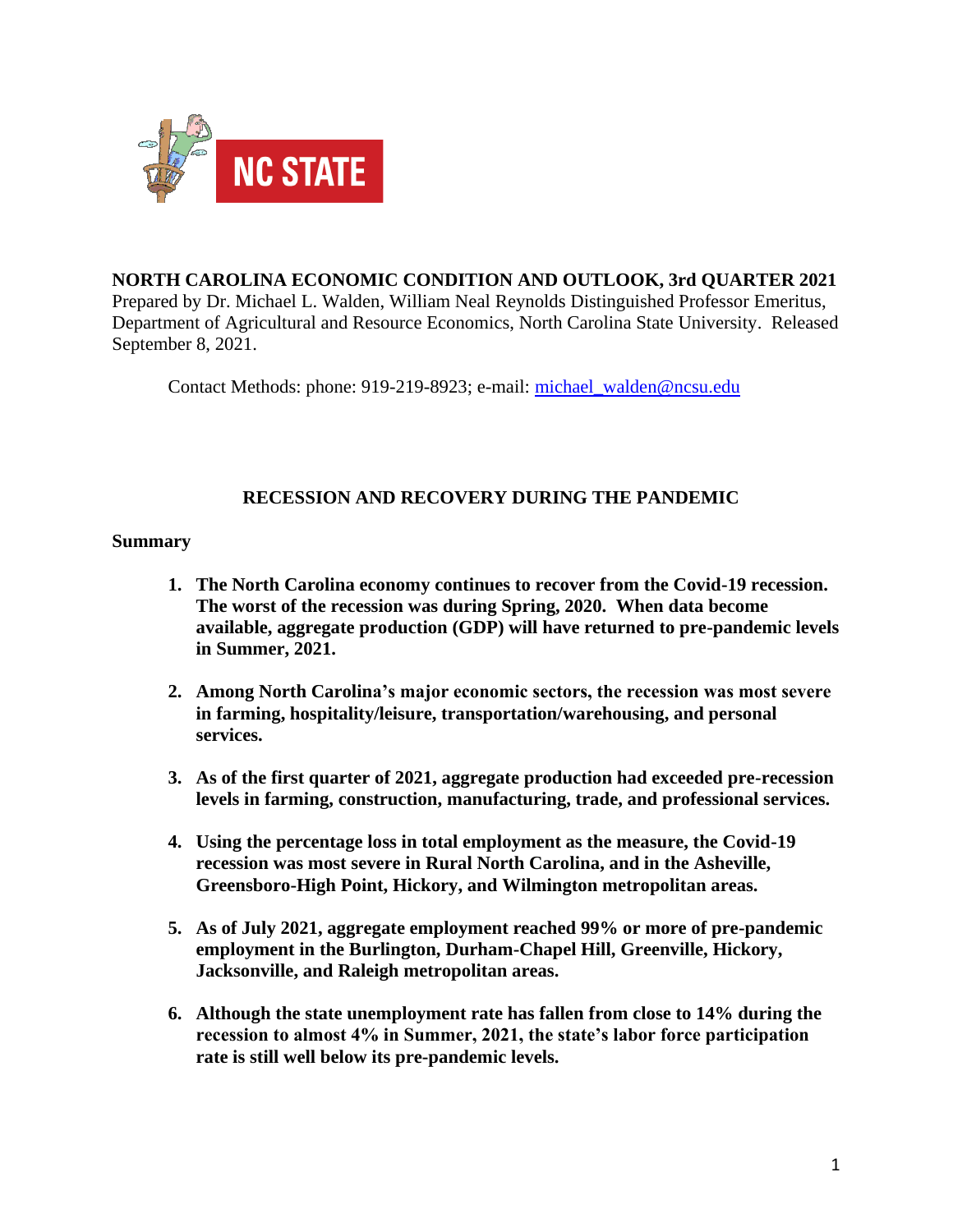

# **NORTH CAROLINA ECONOMIC CONDITION AND OUTLOOK, 3rd QUARTER 2021**

Prepared by Dr. Michael L. Walden, William Neal Reynolds Distinguished Professor Emeritus, Department of Agricultural and Resource Economics, North Carolina State University. Released September 8, 2021.

Contact Methods: phone: 919-219-8923; e-mail: [michael\\_walden@ncsu.edu](mailto:michael_walden@ncsu.edu)

## **RECESSION AND RECOVERY DURING THE PANDEMIC**

## **Summary**

- **1. The North Carolina economy continues to recover from the Covid-19 recession. The worst of the recession was during Spring, 2020. When data become available, aggregate production (GDP) will have returned to pre-pandemic levels in Summer, 2021.**
- **2. Among North Carolina's major economic sectors, the recession was most severe in farming, hospitality/leisure, transportation/warehousing, and personal services.**
- **3. As of the first quarter of 2021, aggregate production had exceeded pre-recession levels in farming, construction, manufacturing, trade, and professional services.**
- **4. Using the percentage loss in total employment as the measure, the Covid-19 recession was most severe in Rural North Carolina, and in the Asheville, Greensboro-High Point, Hickory, and Wilmington metropolitan areas.**
- **5. As of July 2021, aggregate employment reached 99% or more of pre-pandemic employment in the Burlington, Durham-Chapel Hill, Greenville, Hickory, Jacksonville, and Raleigh metropolitan areas.**
- **6. Although the state unemployment rate has fallen from close to 14% during the recession to almost 4% in Summer, 2021, the state's labor force participation rate is still well below its pre-pandemic levels.**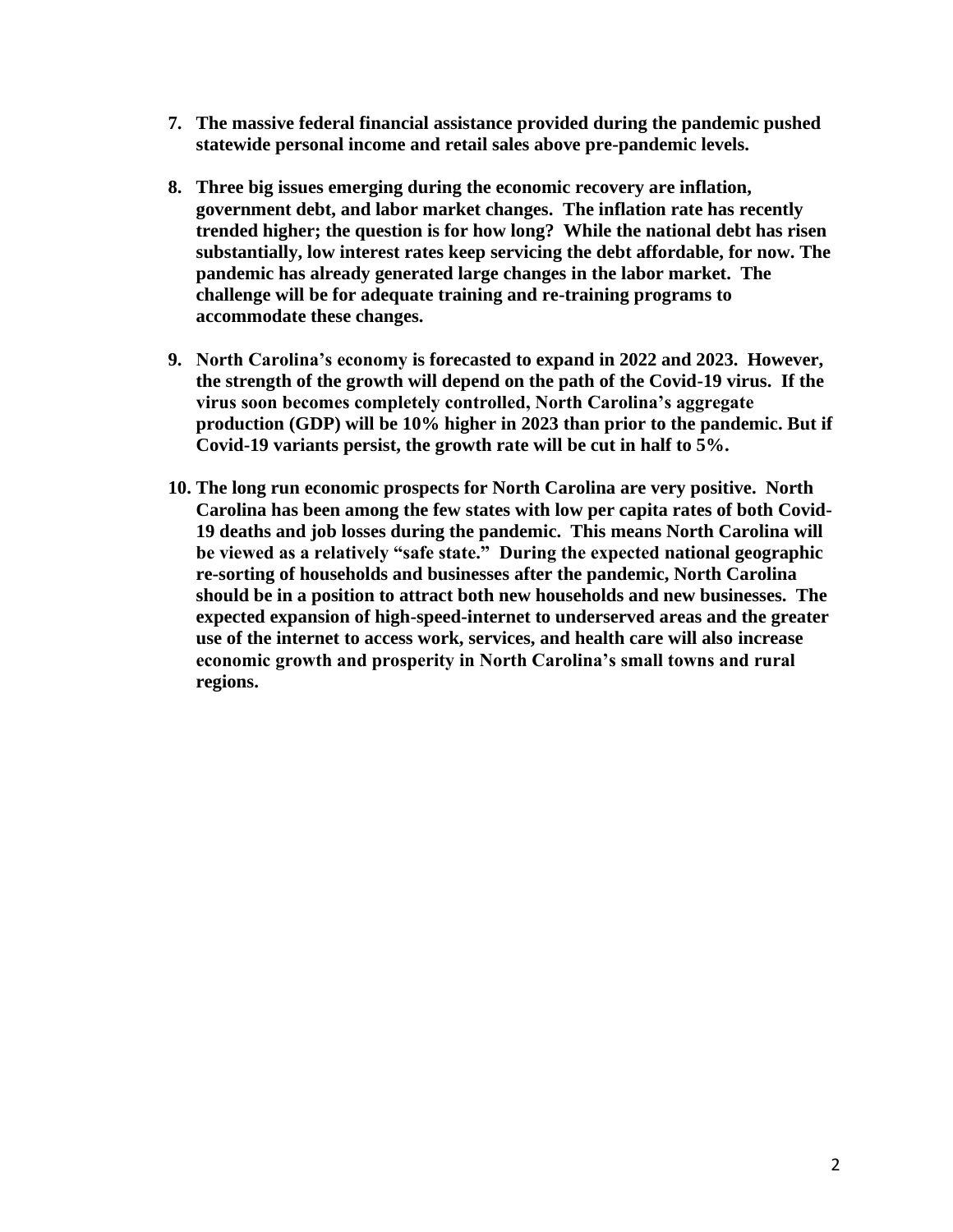- **7. The massive federal financial assistance provided during the pandemic pushed statewide personal income and retail sales above pre-pandemic levels.**
- **8. Three big issues emerging during the economic recovery are inflation, government debt, and labor market changes. The inflation rate has recently trended higher; the question is for how long? While the national debt has risen substantially, low interest rates keep servicing the debt affordable, for now. The pandemic has already generated large changes in the labor market. The challenge will be for adequate training and re-training programs to accommodate these changes.**
- **9. North Carolina's economy is forecasted to expand in 2022 and 2023. However, the strength of the growth will depend on the path of the Covid-19 virus. If the virus soon becomes completely controlled, North Carolina's aggregate production (GDP) will be 10% higher in 2023 than prior to the pandemic. But if Covid-19 variants persist, the growth rate will be cut in half to 5%.**
- **10. The long run economic prospects for North Carolina are very positive. North Carolina has been among the few states with low per capita rates of both Covid-19 deaths and job losses during the pandemic. This means North Carolina will be viewed as a relatively "safe state." During the expected national geographic re-sorting of households and businesses after the pandemic, North Carolina should be in a position to attract both new households and new businesses. The expected expansion of high-speed-internet to underserved areas and the greater use of the internet to access work, services, and health care will also increase economic growth and prosperity in North Carolina's small towns and rural regions.**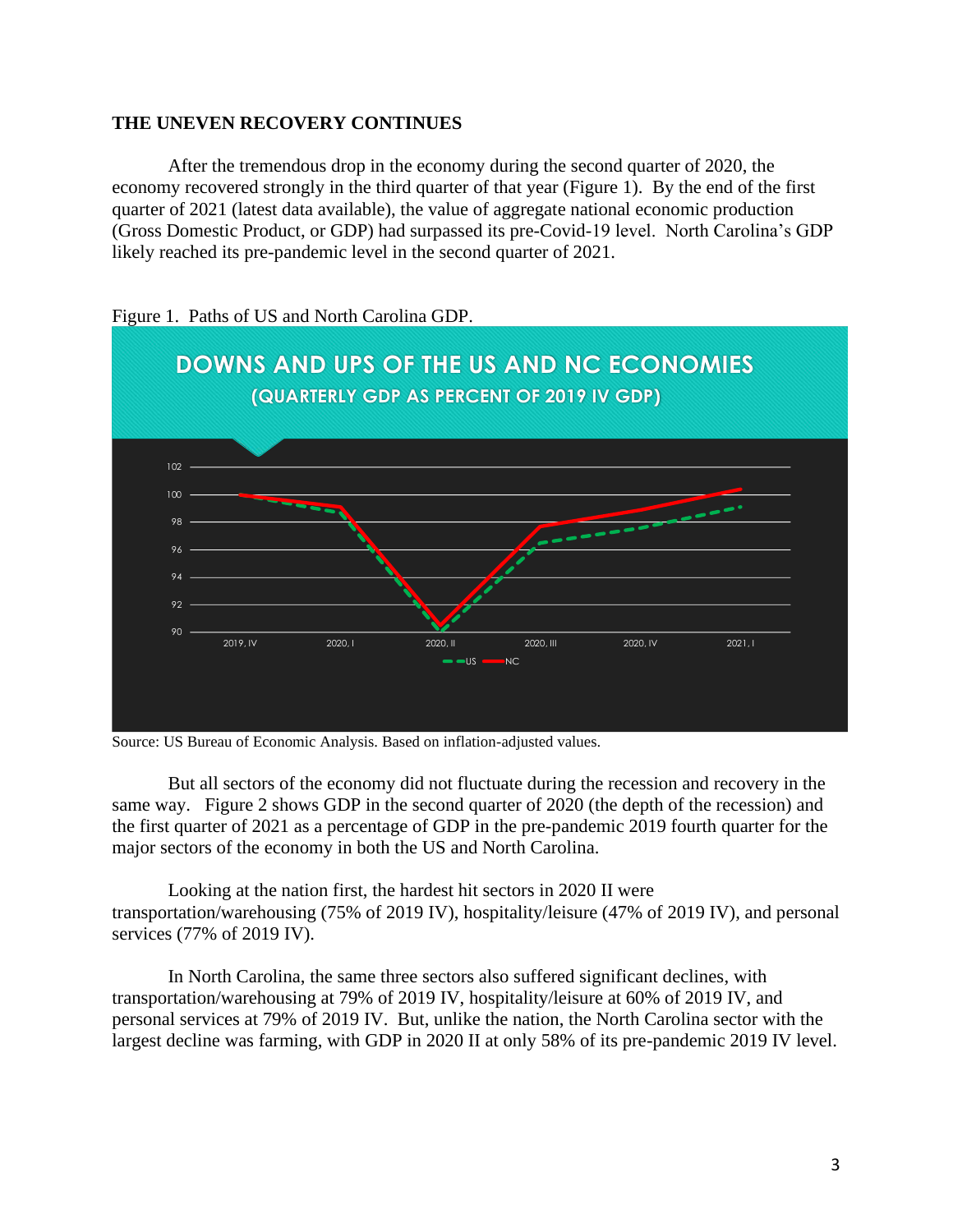### **THE UNEVEN RECOVERY CONTINUES**

After the tremendous drop in the economy during the second quarter of 2020, the economy recovered strongly in the third quarter of that year (Figure 1). By the end of the first quarter of 2021 (latest data available), the value of aggregate national economic production (Gross Domestic Product, or GDP) had surpassed its pre-Covid-19 level. North Carolina's GDP likely reached its pre-pandemic level in the second quarter of 2021.



Figure 1. Paths of US and North Carolina GDP.

Source: US Bureau of Economic Analysis. Based on inflation-adjusted values.

But all sectors of the economy did not fluctuate during the recession and recovery in the same way. Figure 2 shows GDP in the second quarter of 2020 (the depth of the recession) and the first quarter of 2021 as a percentage of GDP in the pre-pandemic 2019 fourth quarter for the major sectors of the economy in both the US and North Carolina.

Looking at the nation first, the hardest hit sectors in 2020 II were transportation/warehousing (75% of 2019 IV), hospitality/leisure (47% of 2019 IV), and personal services (77% of 2019 IV).

In North Carolina, the same three sectors also suffered significant declines, with transportation/warehousing at 79% of 2019 IV, hospitality/leisure at 60% of 2019 IV, and personal services at 79% of 2019 IV. But, unlike the nation, the North Carolina sector with the largest decline was farming, with GDP in 2020 II at only 58% of its pre-pandemic 2019 IV level.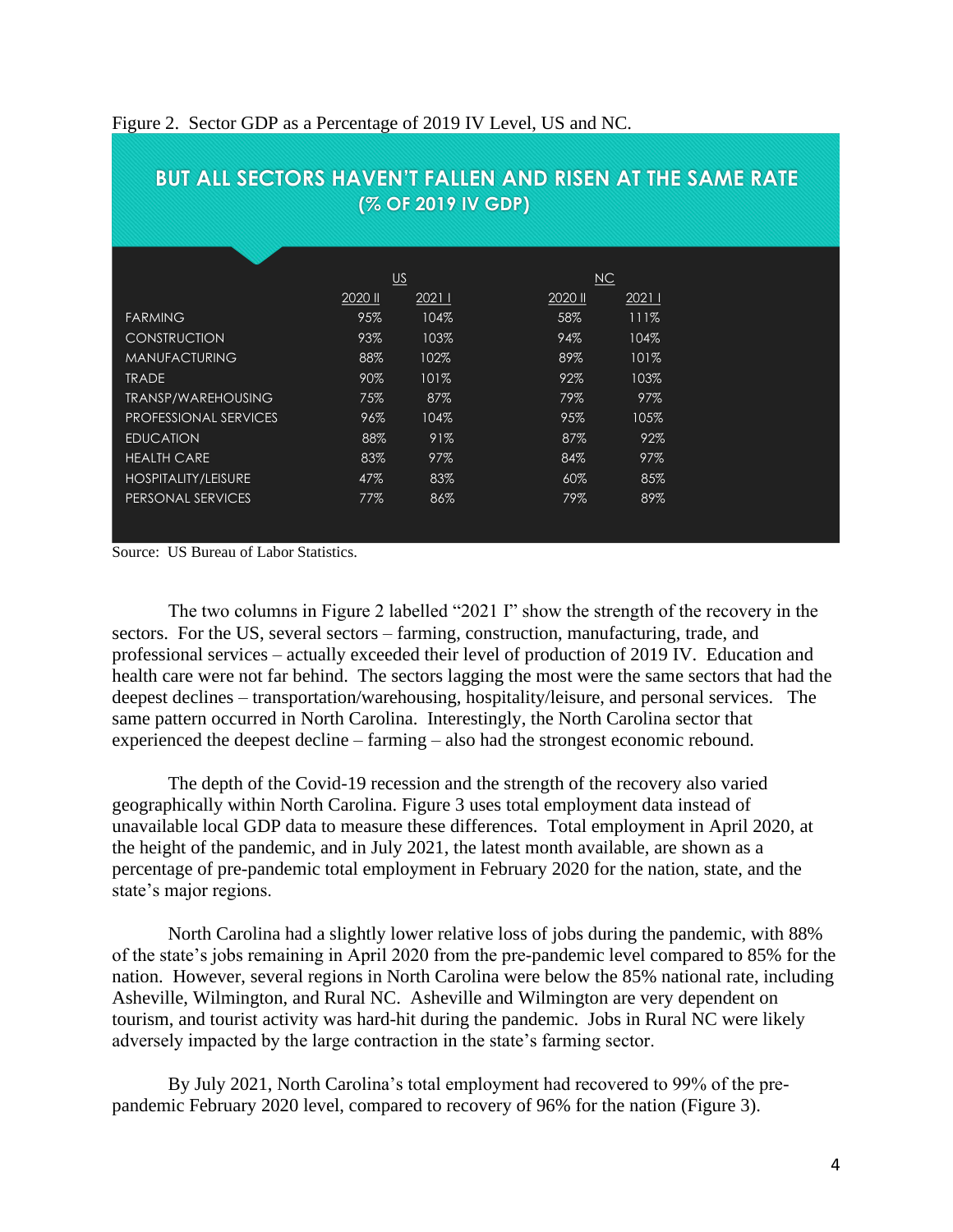| (% OF 2019 IV GDP)           |                                                |       |         |       |  |  |  |  |  |
|------------------------------|------------------------------------------------|-------|---------|-------|--|--|--|--|--|
|                              |                                                |       |         |       |  |  |  |  |  |
|                              |                                                |       |         |       |  |  |  |  |  |
|                              | $\underline{\mathsf{U}}\underline{\mathsf{S}}$ |       | NC      |       |  |  |  |  |  |
|                              | 2020 ll                                        | 20211 | 2020 II | 20211 |  |  |  |  |  |
| <b>FARMING</b>               | 95%                                            | 104%  | 58%     | 111%  |  |  |  |  |  |
| <b>CONSTRUCTION</b>          | 93%                                            | 103%  | 94%     | 104%  |  |  |  |  |  |
| <b>MANUFACTURING</b>         | 88%                                            | 102%  | 89%     | 101%  |  |  |  |  |  |
| <b>TRADE</b>                 | 90%                                            | 101%  | 92%     | 103%  |  |  |  |  |  |
| <b>TRANSP/WAREHOUSING</b>    | 75%                                            | 87%   | 79%     | 97%   |  |  |  |  |  |
| <b>PROFESSIONAL SERVICES</b> | 96%                                            | 104%  | 95%     | 105%  |  |  |  |  |  |
| <b>EDUCATION</b>             | 88%                                            | 91%   | 87%     | 92%   |  |  |  |  |  |
| <b>HEALTH CARE</b>           | 83%                                            | 97%   | 84%     | 97%   |  |  |  |  |  |
| HOSPITALITY/LEISURE          | 47%                                            | 83%   | 60%     | 85%   |  |  |  |  |  |
| PERSONAL SERVICES            | 77%                                            | 86%   | 79%     | 89%   |  |  |  |  |  |
|                              |                                                |       |         |       |  |  |  |  |  |

**BUT ALL SECTORS HAVEN'T FALLEN AND RISEN AT THE SAME RATE**

#### Figure 2. Sector GDP as a Percentage of 2019 IV Level, US and NC.

Source: US Bureau of Labor Statistics.

The two columns in Figure 2 labelled "2021 I" show the strength of the recovery in the sectors. For the US, several sectors – farming, construction, manufacturing, trade, and professional services – actually exceeded their level of production of 2019 IV. Education and health care were not far behind. The sectors lagging the most were the same sectors that had the deepest declines – transportation/warehousing, hospitality/leisure, and personal services. The same pattern occurred in North Carolina. Interestingly, the North Carolina sector that experienced the deepest decline – farming – also had the strongest economic rebound.

The depth of the Covid-19 recession and the strength of the recovery also varied geographically within North Carolina. Figure 3 uses total employment data instead of unavailable local GDP data to measure these differences. Total employment in April 2020, at the height of the pandemic, and in July 2021, the latest month available, are shown as a percentage of pre-pandemic total employment in February 2020 for the nation, state, and the state's major regions.

North Carolina had a slightly lower relative loss of jobs during the pandemic, with 88% of the state's jobs remaining in April 2020 from the pre-pandemic level compared to 85% for the nation. However, several regions in North Carolina were below the 85% national rate, including Asheville, Wilmington, and Rural NC. Asheville and Wilmington are very dependent on tourism, and tourist activity was hard-hit during the pandemic. Jobs in Rural NC were likely adversely impacted by the large contraction in the state's farming sector.

By July 2021, North Carolina's total employment had recovered to 99% of the prepandemic February 2020 level, compared to recovery of 96% for the nation (Figure 3).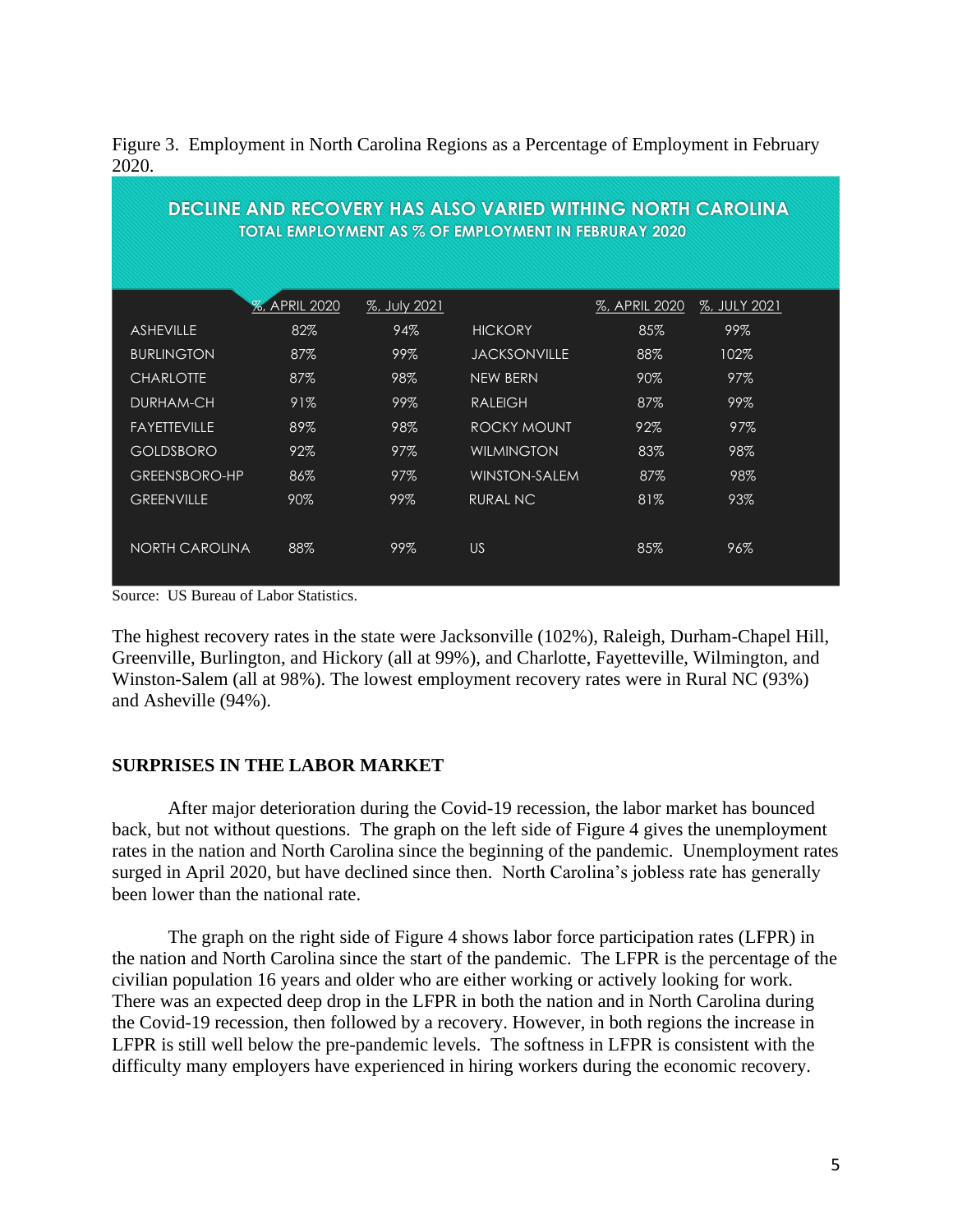|       | Figure 3. Employment in North Carolina Regions as a Percentage of Employment in February |
|-------|------------------------------------------------------------------------------------------|
| 2020. |                                                                                          |

| <b>DECLINE AND RECOVERY HAS ALSO VARIED WITHING NORTH CAROLINA</b> |                      |              |                      |               |              |  |  |  |  |
|--------------------------------------------------------------------|----------------------|--------------|----------------------|---------------|--------------|--|--|--|--|
| TOTAL EMPLOYMENT AS % OF EMPLOYMENT IN FEBRURAY 2020               |                      |              |                      |               |              |  |  |  |  |
|                                                                    |                      |              |                      |               |              |  |  |  |  |
|                                                                    |                      |              |                      |               |              |  |  |  |  |
|                                                                    | <b>%, APRIL 2020</b> | %, July 2021 |                      | %, APRIL 2020 | %, JULY 2021 |  |  |  |  |
| <b>ASHEVILLE</b>                                                   | 82%                  | 94%          | <b>HICKORY</b>       | 85%           | 99%          |  |  |  |  |
| <b>BURLINGTON</b>                                                  | 87%                  | 99%          | <b>JACKSONVILLE</b>  | 88%           | 102%         |  |  |  |  |
| <b>CHARLOTTE</b>                                                   | 87%                  | 98%          | <b>NEW BERN</b>      | $90\%$        | 97%          |  |  |  |  |
| DURHAM-CH                                                          | 91%                  | 99%          | <b>RALEIGH</b>       | 87%           | 99%          |  |  |  |  |
| <b>FAYETTEVILLE</b>                                                | 89%                  | 98%          | ROCKY MOUNT          | 92%           | 97%          |  |  |  |  |
| <b>GOLDSBORO</b>                                                   | 92%                  | 97%          | <b>WILMINGTON</b>    | 83%           | 98%          |  |  |  |  |
| <b>GREENSBORO-HP</b>                                               | 86%                  | 97%          | <b>WINSTON-SALEM</b> | 87%           | 98%          |  |  |  |  |
| <b>GREENVILLE</b>                                                  | 90%                  | 99%          | <b>RURAL NC</b>      | 81%           | 93%          |  |  |  |  |
|                                                                    |                      |              |                      |               |              |  |  |  |  |
| <b>NORTH CAROLINA</b>                                              | 88%                  | 99%          | US                   | 85%           | 96%          |  |  |  |  |
|                                                                    |                      |              |                      |               |              |  |  |  |  |

Source: US Bureau of Labor Statistics.

The highest recovery rates in the state were Jacksonville (102%), Raleigh, Durham-Chapel Hill, Greenville, Burlington, and Hickory (all at 99%), and Charlotte, Fayetteville, Wilmington, and Winston-Salem (all at 98%). The lowest employment recovery rates were in Rural NC (93%) and Asheville (94%).

## **SURPRISES IN THE LABOR MARKET**

After major deterioration during the Covid-19 recession, the labor market has bounced back, but not without questions. The graph on the left side of Figure 4 gives the unemployment rates in the nation and North Carolina since the beginning of the pandemic. Unemployment rates surged in April 2020, but have declined since then. North Carolina's jobless rate has generally been lower than the national rate.

The graph on the right side of Figure 4 shows labor force participation rates (LFPR) in the nation and North Carolina since the start of the pandemic. The LFPR is the percentage of the civilian population 16 years and older who are either working or actively looking for work. There was an expected deep drop in the LFPR in both the nation and in North Carolina during the Covid-19 recession, then followed by a recovery. However, in both regions the increase in LFPR is still well below the pre-pandemic levels. The softness in LFPR is consistent with the difficulty many employers have experienced in hiring workers during the economic recovery.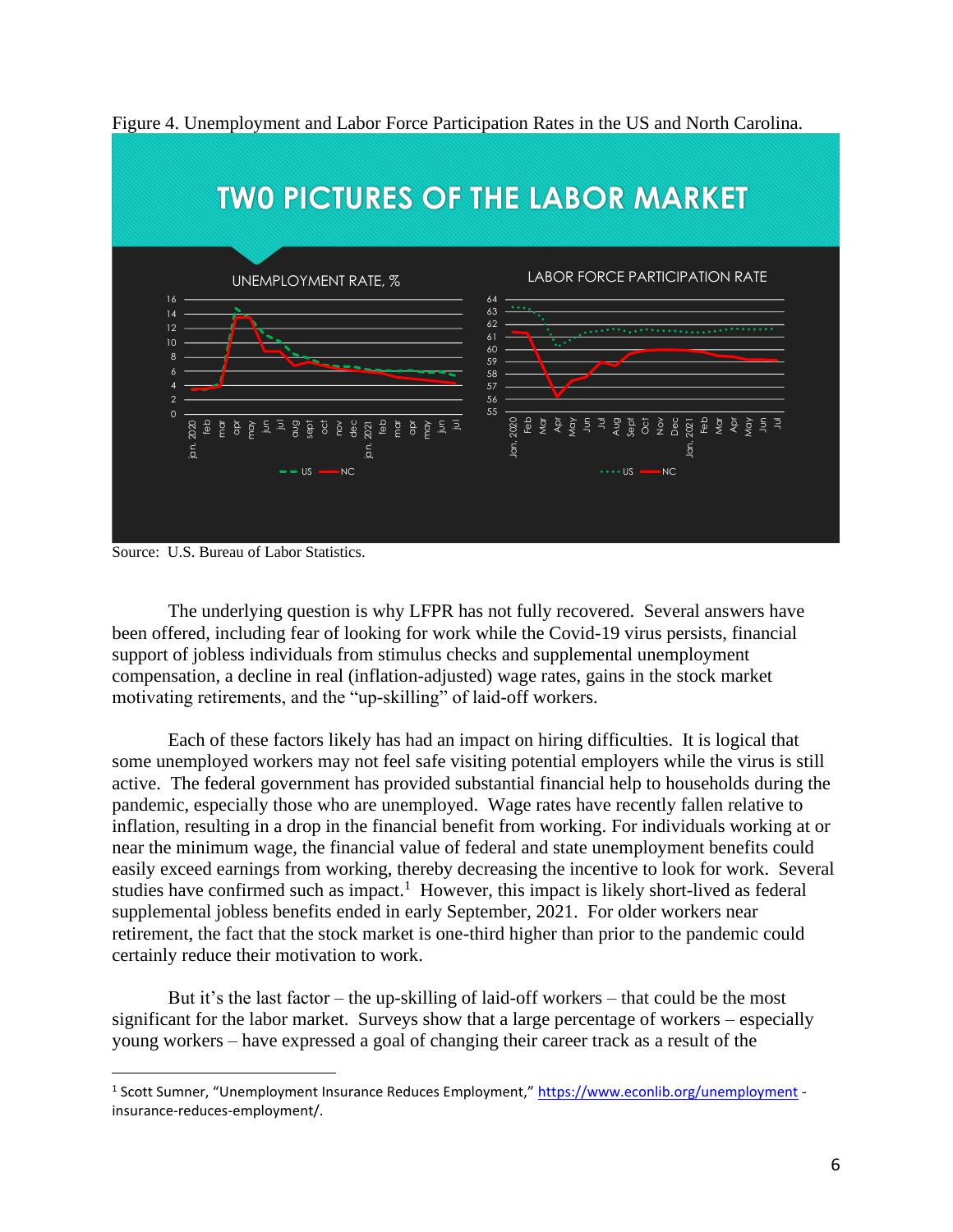

Figure 4. Unemployment and Labor Force Participation Rates in the US and North Carolina.

Source: U.S. Bureau of Labor Statistics.

The underlying question is why LFPR has not fully recovered. Several answers have been offered, including fear of looking for work while the Covid-19 virus persists, financial support of jobless individuals from stimulus checks and supplemental unemployment compensation, a decline in real (inflation-adjusted) wage rates, gains in the stock market motivating retirements, and the "up-skilling" of laid-off workers.

Each of these factors likely has had an impact on hiring difficulties. It is logical that some unemployed workers may not feel safe visiting potential employers while the virus is still active. The federal government has provided substantial financial help to households during the pandemic, especially those who are unemployed. Wage rates have recently fallen relative to inflation, resulting in a drop in the financial benefit from working. For individuals working at or near the minimum wage, the financial value of federal and state unemployment benefits could easily exceed earnings from working, thereby decreasing the incentive to look for work. Several studies have confirmed such as impact.<sup>1</sup> However, this impact is likely short-lived as federal supplemental jobless benefits ended in early September, 2021. For older workers near retirement, the fact that the stock market is one-third higher than prior to the pandemic could certainly reduce their motivation to work.

But it's the last factor – the up-skilling of laid-off workers – that could be the most significant for the labor market. Surveys show that a large percentage of workers – especially young workers – have expressed a goal of changing their career track as a result of the

<sup>&</sup>lt;sup>1</sup> Scott Sumner, "Unemployment Insurance Reduces Employment," <https://www.econlib.org/unemployment> insurance-reduces-employment/.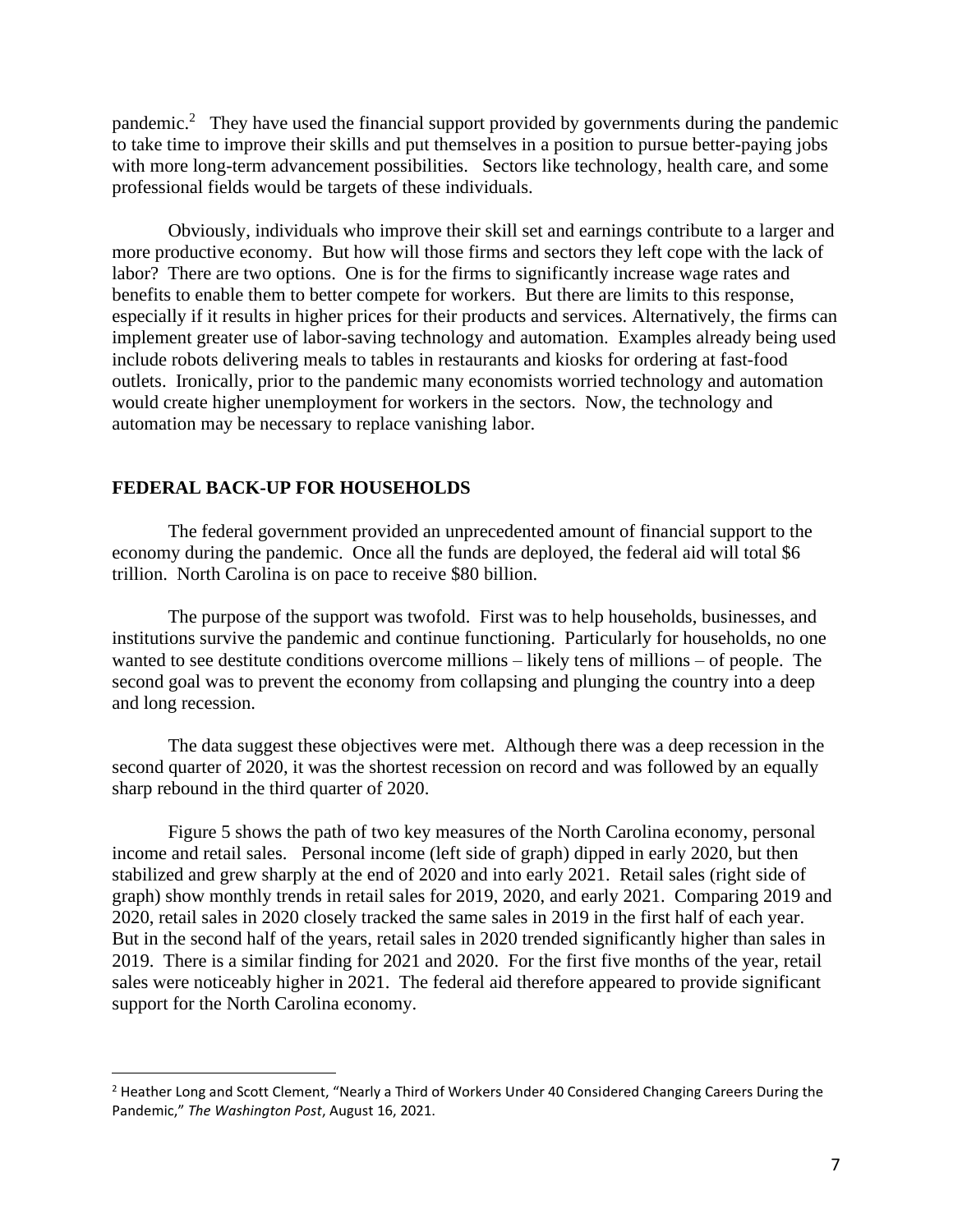pandemic.<sup>2</sup> They have used the financial support provided by governments during the pandemic to take time to improve their skills and put themselves in a position to pursue better-paying jobs with more long-term advancement possibilities. Sectors like technology, health care, and some professional fields would be targets of these individuals.

Obviously, individuals who improve their skill set and earnings contribute to a larger and more productive economy. But how will those firms and sectors they left cope with the lack of labor? There are two options. One is for the firms to significantly increase wage rates and benefits to enable them to better compete for workers. But there are limits to this response, especially if it results in higher prices for their products and services. Alternatively, the firms can implement greater use of labor-saving technology and automation. Examples already being used include robots delivering meals to tables in restaurants and kiosks for ordering at fast-food outlets. Ironically, prior to the pandemic many economists worried technology and automation would create higher unemployment for workers in the sectors. Now, the technology and automation may be necessary to replace vanishing labor.

#### **FEDERAL BACK-UP FOR HOUSEHOLDS**

The federal government provided an unprecedented amount of financial support to the economy during the pandemic. Once all the funds are deployed, the federal aid will total \$6 trillion. North Carolina is on pace to receive \$80 billion.

The purpose of the support was twofold. First was to help households, businesses, and institutions survive the pandemic and continue functioning. Particularly for households, no one wanted to see destitute conditions overcome millions – likely tens of millions – of people. The second goal was to prevent the economy from collapsing and plunging the country into a deep and long recession.

The data suggest these objectives were met. Although there was a deep recession in the second quarter of 2020, it was the shortest recession on record and was followed by an equally sharp rebound in the third quarter of 2020.

Figure 5 shows the path of two key measures of the North Carolina economy, personal income and retail sales. Personal income (left side of graph) dipped in early 2020, but then stabilized and grew sharply at the end of 2020 and into early 2021. Retail sales (right side of graph) show monthly trends in retail sales for 2019, 2020, and early 2021. Comparing 2019 and 2020, retail sales in 2020 closely tracked the same sales in 2019 in the first half of each year. But in the second half of the years, retail sales in 2020 trended significantly higher than sales in 2019. There is a similar finding for 2021 and 2020. For the first five months of the year, retail sales were noticeably higher in 2021. The federal aid therefore appeared to provide significant support for the North Carolina economy.

 $<sup>2</sup>$  Heather Long and Scott Clement, "Nearly a Third of Workers Under 40 Considered Changing Careers During the</sup> Pandemic," *The Washington Post*, August 16, 2021.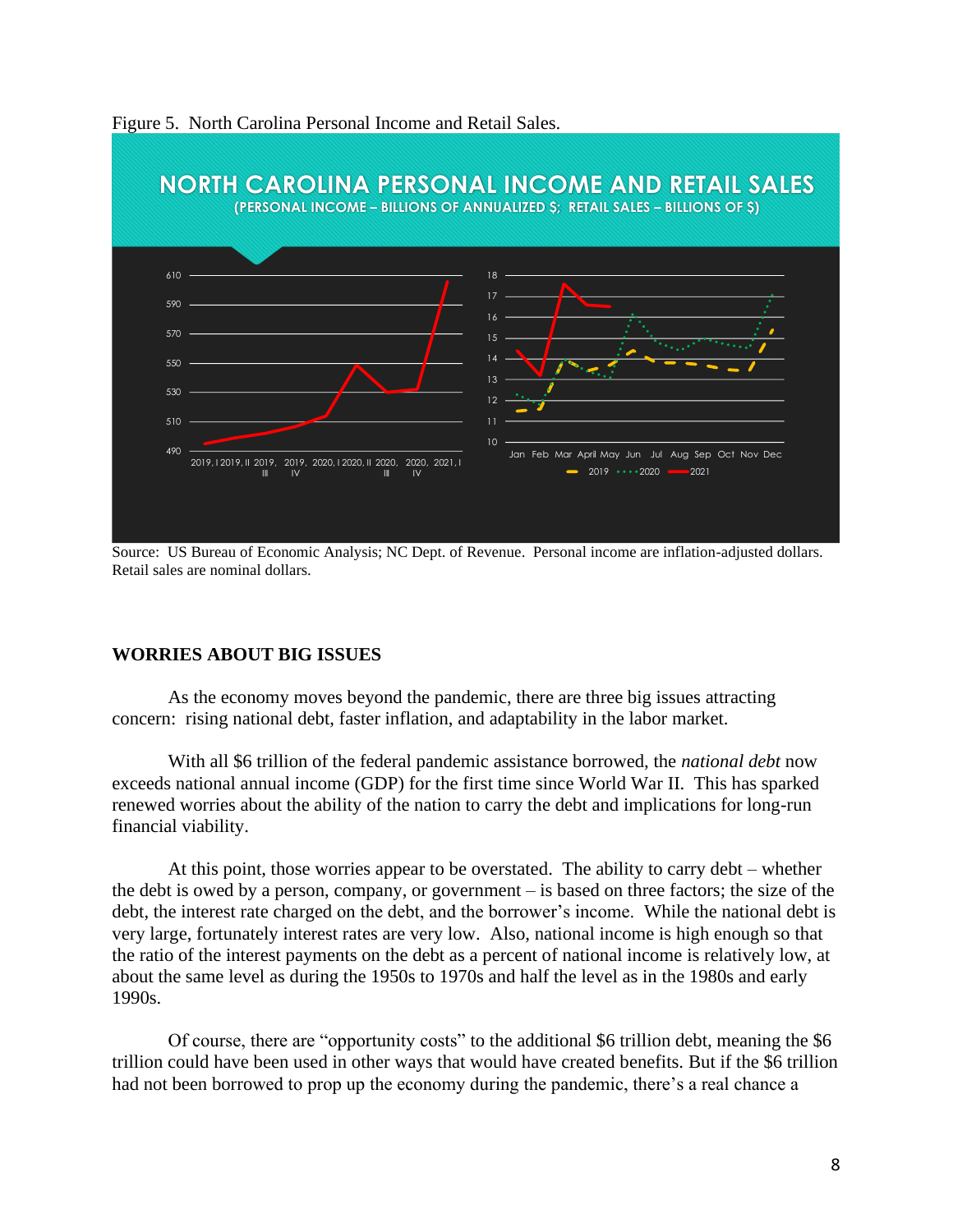

Figure 5. North Carolina Personal Income and Retail Sales.

Source: US Bureau of Economic Analysis; NC Dept. of Revenue. Personal income are inflation-adjusted dollars. Retail sales are nominal dollars.

### **WORRIES ABOUT BIG ISSUES**

As the economy moves beyond the pandemic, there are three big issues attracting concern: rising national debt, faster inflation, and adaptability in the labor market.

With all \$6 trillion of the federal pandemic assistance borrowed, the *national debt* now exceeds national annual income (GDP) for the first time since World War II. This has sparked renewed worries about the ability of the nation to carry the debt and implications for long-run financial viability.

At this point, those worries appear to be overstated. The ability to carry debt – whether the debt is owed by a person, company, or government – is based on three factors; the size of the debt, the interest rate charged on the debt, and the borrower's income. While the national debt is very large, fortunately interest rates are very low. Also, national income is high enough so that the ratio of the interest payments on the debt as a percent of national income is relatively low, at about the same level as during the 1950s to 1970s and half the level as in the 1980s and early 1990s.

Of course, there are "opportunity costs" to the additional \$6 trillion debt, meaning the \$6 trillion could have been used in other ways that would have created benefits. But if the \$6 trillion had not been borrowed to prop up the economy during the pandemic, there's a real chance a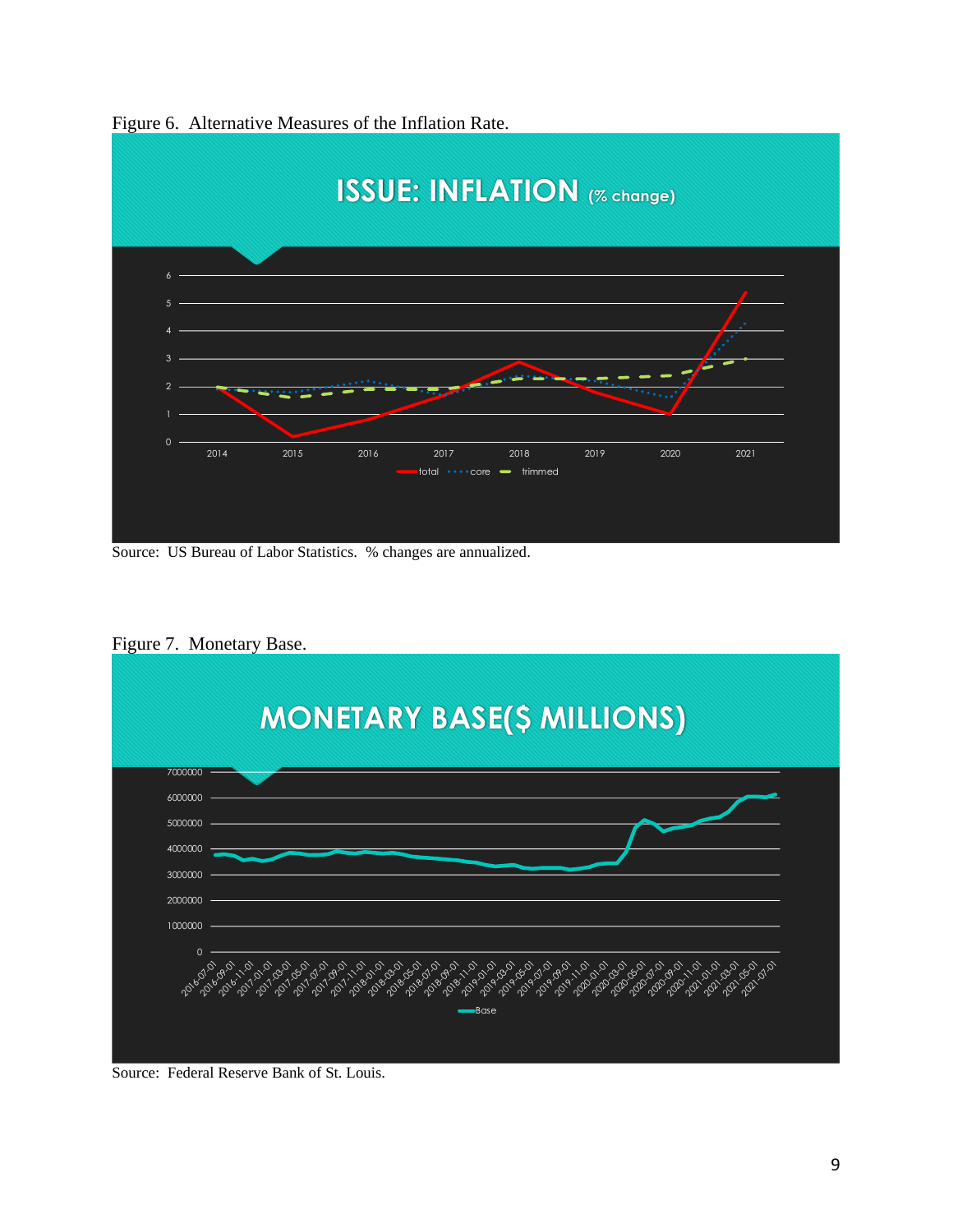

Figure 6. Alternative Measures of the Inflation Rate.

Source: US Bureau of Labor Statistics. % changes are annualized.



Figure 7. Monetary Base.

Source: Federal Reserve Bank of St. Louis.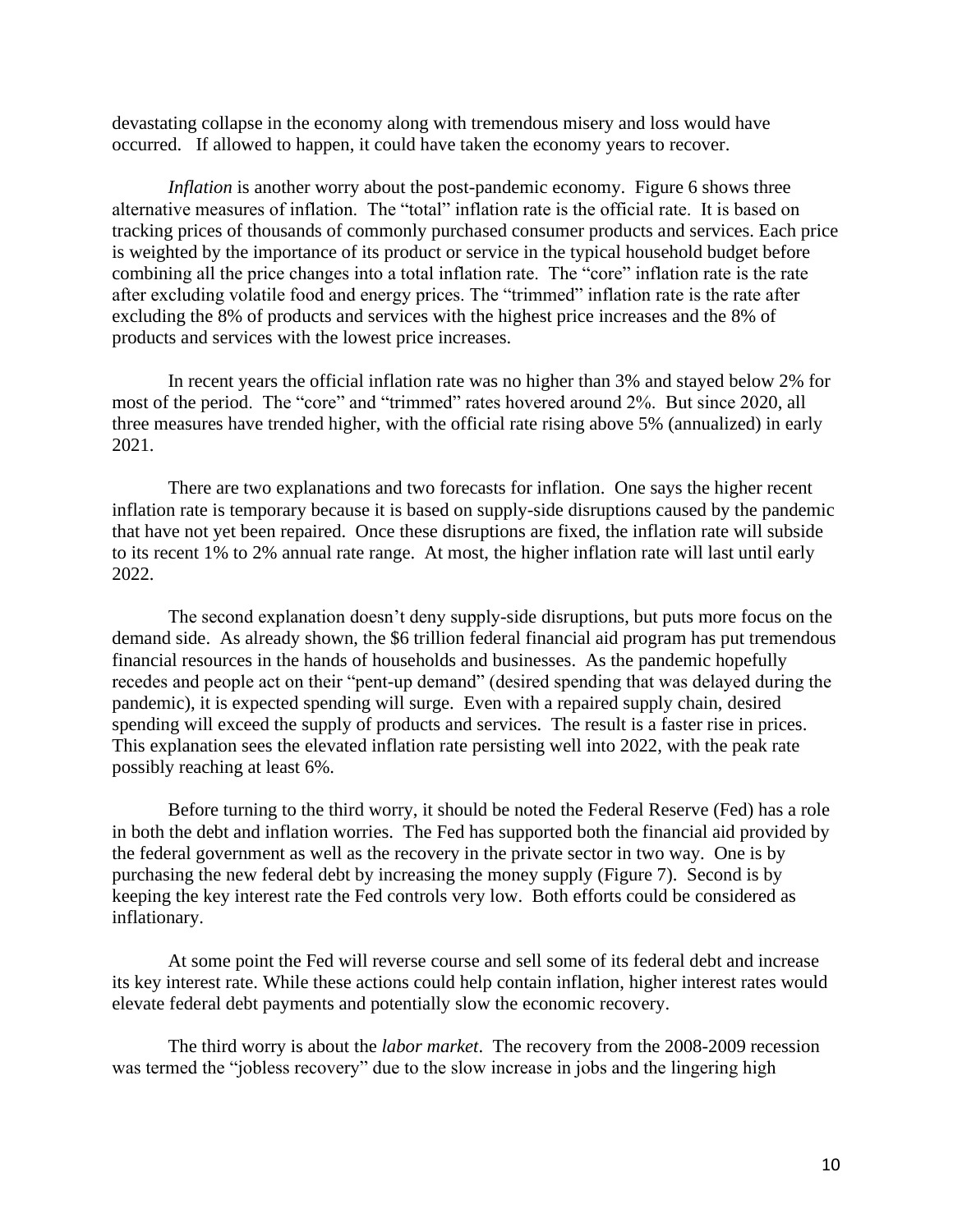devastating collapse in the economy along with tremendous misery and loss would have occurred. If allowed to happen, it could have taken the economy years to recover.

*Inflation* is another worry about the post-pandemic economy. Figure 6 shows three alternative measures of inflation. The "total" inflation rate is the official rate. It is based on tracking prices of thousands of commonly purchased consumer products and services. Each price is weighted by the importance of its product or service in the typical household budget before combining all the price changes into a total inflation rate. The "core" inflation rate is the rate after excluding volatile food and energy prices. The "trimmed" inflation rate is the rate after excluding the 8% of products and services with the highest price increases and the 8% of products and services with the lowest price increases.

In recent years the official inflation rate was no higher than 3% and stayed below 2% for most of the period. The "core" and "trimmed" rates hovered around 2%. But since 2020, all three measures have trended higher, with the official rate rising above 5% (annualized) in early 2021.

There are two explanations and two forecasts for inflation. One says the higher recent inflation rate is temporary because it is based on supply-side disruptions caused by the pandemic that have not yet been repaired. Once these disruptions are fixed, the inflation rate will subside to its recent 1% to 2% annual rate range. At most, the higher inflation rate will last until early 2022.

The second explanation doesn't deny supply-side disruptions, but puts more focus on the demand side. As already shown, the \$6 trillion federal financial aid program has put tremendous financial resources in the hands of households and businesses. As the pandemic hopefully recedes and people act on their "pent-up demand" (desired spending that was delayed during the pandemic), it is expected spending will surge. Even with a repaired supply chain, desired spending will exceed the supply of products and services. The result is a faster rise in prices. This explanation sees the elevated inflation rate persisting well into 2022, with the peak rate possibly reaching at least 6%.

Before turning to the third worry, it should be noted the Federal Reserve (Fed) has a role in both the debt and inflation worries. The Fed has supported both the financial aid provided by the federal government as well as the recovery in the private sector in two way. One is by purchasing the new federal debt by increasing the money supply (Figure 7). Second is by keeping the key interest rate the Fed controls very low. Both efforts could be considered as inflationary.

At some point the Fed will reverse course and sell some of its federal debt and increase its key interest rate. While these actions could help contain inflation, higher interest rates would elevate federal debt payments and potentially slow the economic recovery.

The third worry is about the *labor market*. The recovery from the 2008-2009 recession was termed the "jobless recovery" due to the slow increase in jobs and the lingering high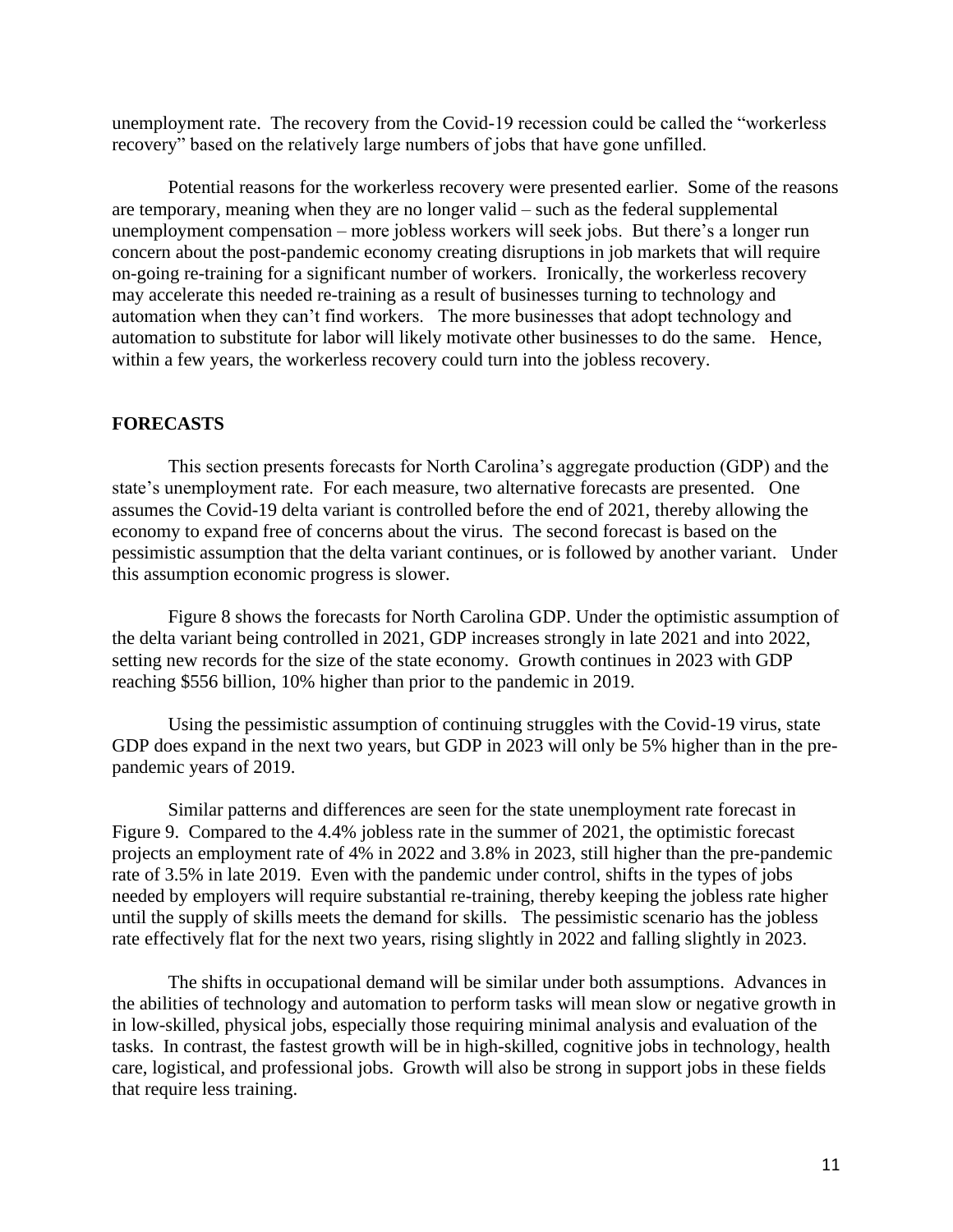unemployment rate. The recovery from the Covid-19 recession could be called the "workerless recovery" based on the relatively large numbers of jobs that have gone unfilled.

Potential reasons for the workerless recovery were presented earlier. Some of the reasons are temporary, meaning when they are no longer valid – such as the federal supplemental unemployment compensation – more jobless workers will seek jobs. But there's a longer run concern about the post-pandemic economy creating disruptions in job markets that will require on-going re-training for a significant number of workers. Ironically, the workerless recovery may accelerate this needed re-training as a result of businesses turning to technology and automation when they can't find workers. The more businesses that adopt technology and automation to substitute for labor will likely motivate other businesses to do the same. Hence, within a few years, the workerless recovery could turn into the jobless recovery.

#### **FORECASTS**

This section presents forecasts for North Carolina's aggregate production (GDP) and the state's unemployment rate. For each measure, two alternative forecasts are presented. One assumes the Covid-19 delta variant is controlled before the end of 2021, thereby allowing the economy to expand free of concerns about the virus. The second forecast is based on the pessimistic assumption that the delta variant continues, or is followed by another variant. Under this assumption economic progress is slower.

Figure 8 shows the forecasts for North Carolina GDP. Under the optimistic assumption of the delta variant being controlled in 2021, GDP increases strongly in late 2021 and into 2022, setting new records for the size of the state economy. Growth continues in 2023 with GDP reaching \$556 billion, 10% higher than prior to the pandemic in 2019.

Using the pessimistic assumption of continuing struggles with the Covid-19 virus, state GDP does expand in the next two years, but GDP in 2023 will only be 5% higher than in the prepandemic years of 2019.

Similar patterns and differences are seen for the state unemployment rate forecast in Figure 9. Compared to the 4.4% jobless rate in the summer of 2021, the optimistic forecast projects an employment rate of 4% in 2022 and 3.8% in 2023, still higher than the pre-pandemic rate of 3.5% in late 2019. Even with the pandemic under control, shifts in the types of jobs needed by employers will require substantial re-training, thereby keeping the jobless rate higher until the supply of skills meets the demand for skills. The pessimistic scenario has the jobless rate effectively flat for the next two years, rising slightly in 2022 and falling slightly in 2023.

The shifts in occupational demand will be similar under both assumptions. Advances in the abilities of technology and automation to perform tasks will mean slow or negative growth in in low-skilled, physical jobs, especially those requiring minimal analysis and evaluation of the tasks. In contrast, the fastest growth will be in high-skilled, cognitive jobs in technology, health care, logistical, and professional jobs. Growth will also be strong in support jobs in these fields that require less training.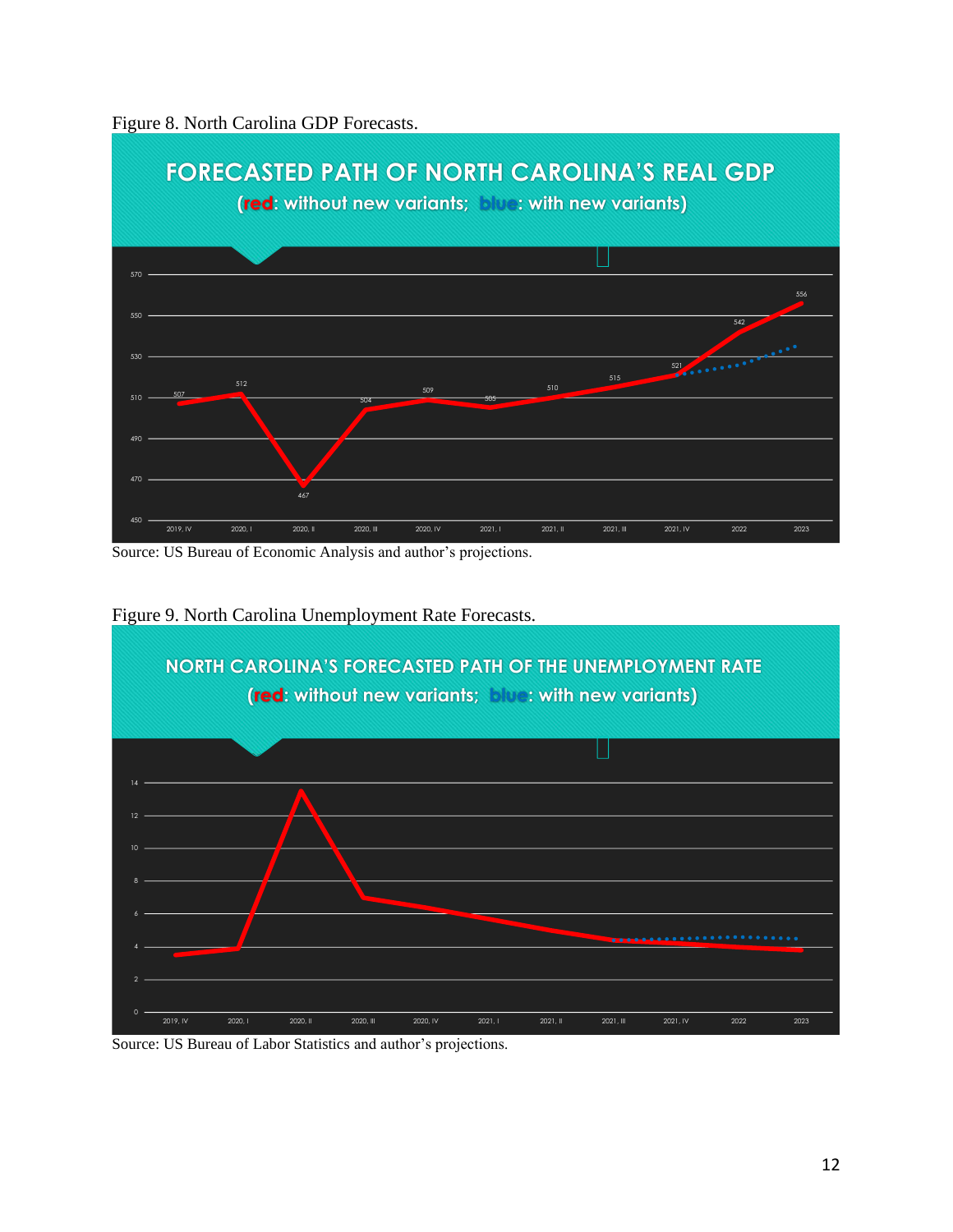



Source: US Bureau of Economic Analysis and author's projections.



Figure 9. North Carolina Unemployment Rate Forecasts.

Source: US Bureau of Labor Statistics and author's projections.